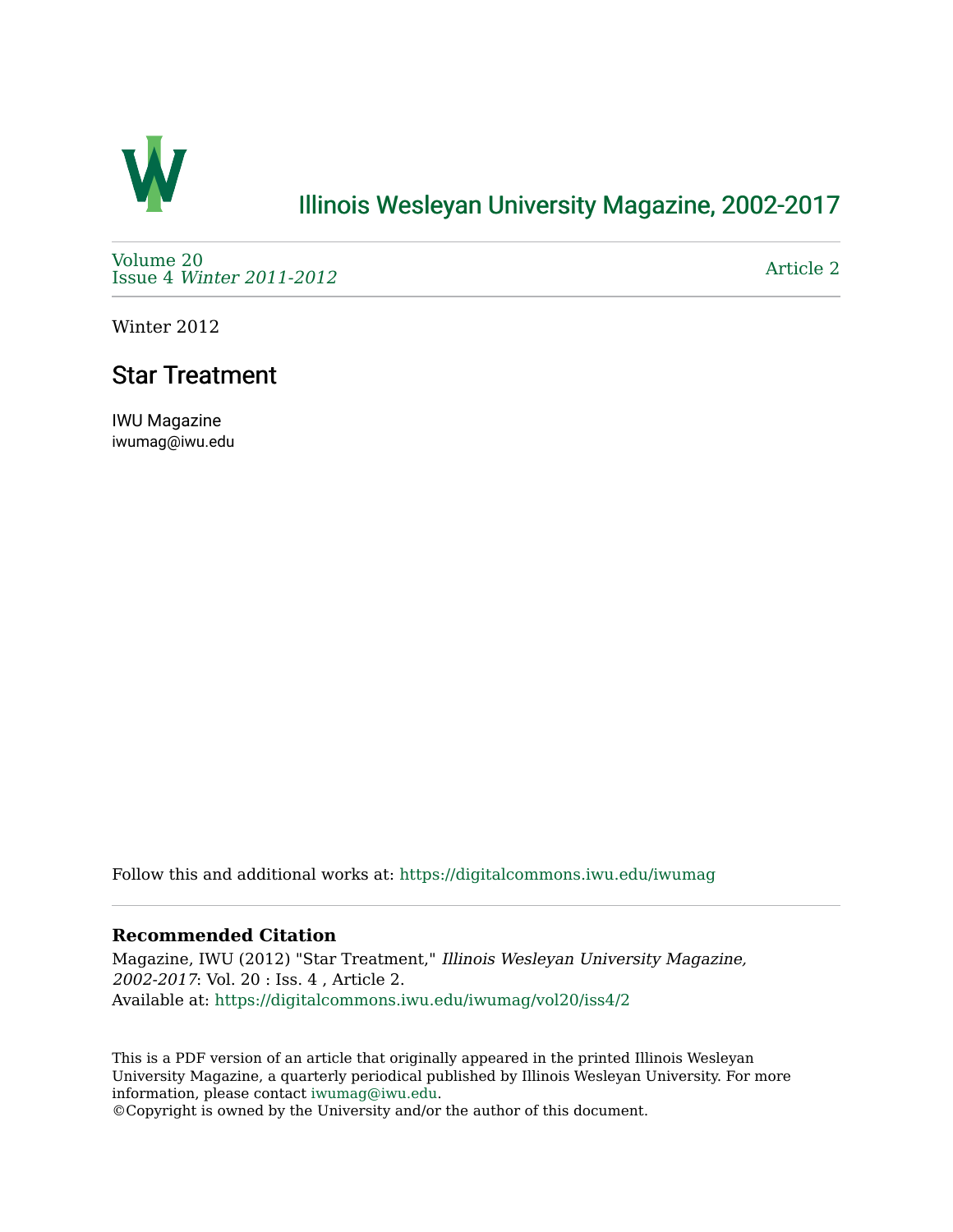

## [Illinois Wesleyan University Magazine, 2002-2017](https://digitalcommons.iwu.edu/iwumag)

[Volume 20](https://digitalcommons.iwu.edu/iwumag/vol20)  Issue 4 [Winter 2011-2012](https://digitalcommons.iwu.edu/iwumag/vol20/iss4)

[Article 2](https://digitalcommons.iwu.edu/iwumag/vol20/iss4/2) 

Winter 2012

# Star Treatment

IWU Magazine iwumag@iwu.edu

Follow this and additional works at: [https://digitalcommons.iwu.edu/iwumag](https://digitalcommons.iwu.edu/iwumag?utm_source=digitalcommons.iwu.edu%2Fiwumag%2Fvol20%2Fiss4%2F2&utm_medium=PDF&utm_campaign=PDFCoverPages) 

#### **Recommended Citation**

Magazine, IWU (2012) "Star Treatment," Illinois Wesleyan University Magazine, 2002-2017: Vol. 20 : Iss. 4 , Article 2. Available at: [https://digitalcommons.iwu.edu/iwumag/vol20/iss4/2](https://digitalcommons.iwu.edu/iwumag/vol20/iss4/2?utm_source=digitalcommons.iwu.edu%2Fiwumag%2Fvol20%2Fiss4%2F2&utm_medium=PDF&utm_campaign=PDFCoverPages)

This is a PDF version of an article that originally appeared in the printed Illinois Wesleyan University Magazine, a quarterly periodical published by Illinois Wesleyan University. For more information, please contact [iwumag@iwu.edu](mailto:iwumag@iwu.edu).

©Copyright is owned by the University and/or the author of this document.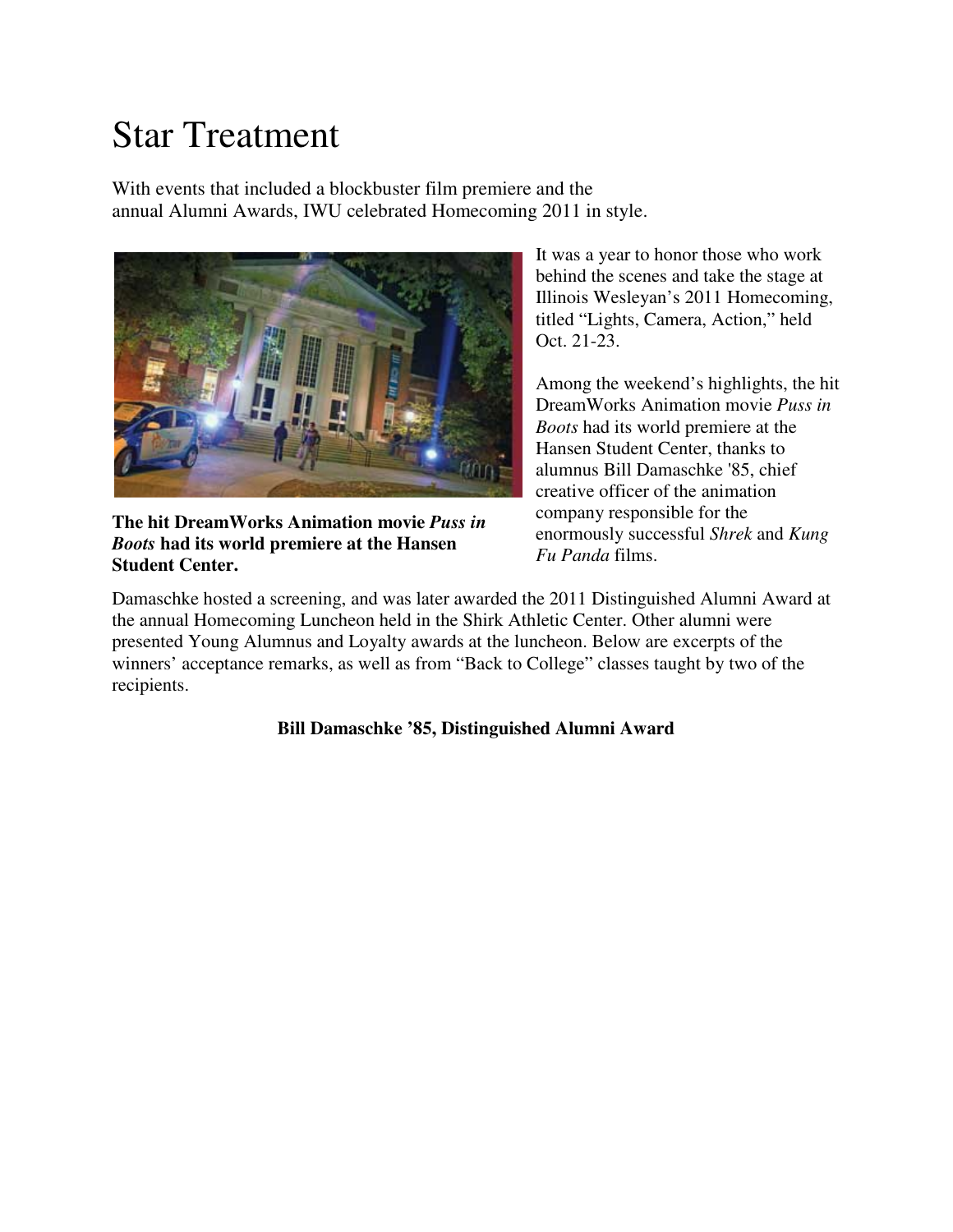# Star Treatment

With events that included a blockbuster film premiere and the annual Alumni Awards, IWU celebrated Homecoming 2011 in style.



**The hit DreamWorks Animation movie** *Puss in Boots* **had its world premiere at the Hansen Student Center.**

It was a year to honor those who work behind the scenes and take the stage at Illinois Wesleyan's 2011 Homecoming, titled "Lights, Camera, Action," held Oct. 21-23.

Among the weekend's highlights, the hit DreamWorks Animation movie *Puss in Boots* had its world premiere at the Hansen Student Center, thanks to alumnus Bill Damaschke '85, chief creative officer of the animation company responsible for the enormously successful *Shrek* and *Kung Fu Panda* films.

Damaschke hosted a screening, and was later awarded the 2011 Distinguished Alumni Award at the annual Homecoming Luncheon held in the Shirk Athletic Center. Other alumni were presented Young Alumnus and Loyalty awards at the luncheon. Below are excerpts of the winners' acceptance remarks, as well as from "Back to College" classes taught by two of the recipients.

## **Bill Damaschke '85, Distinguished Alumni Award**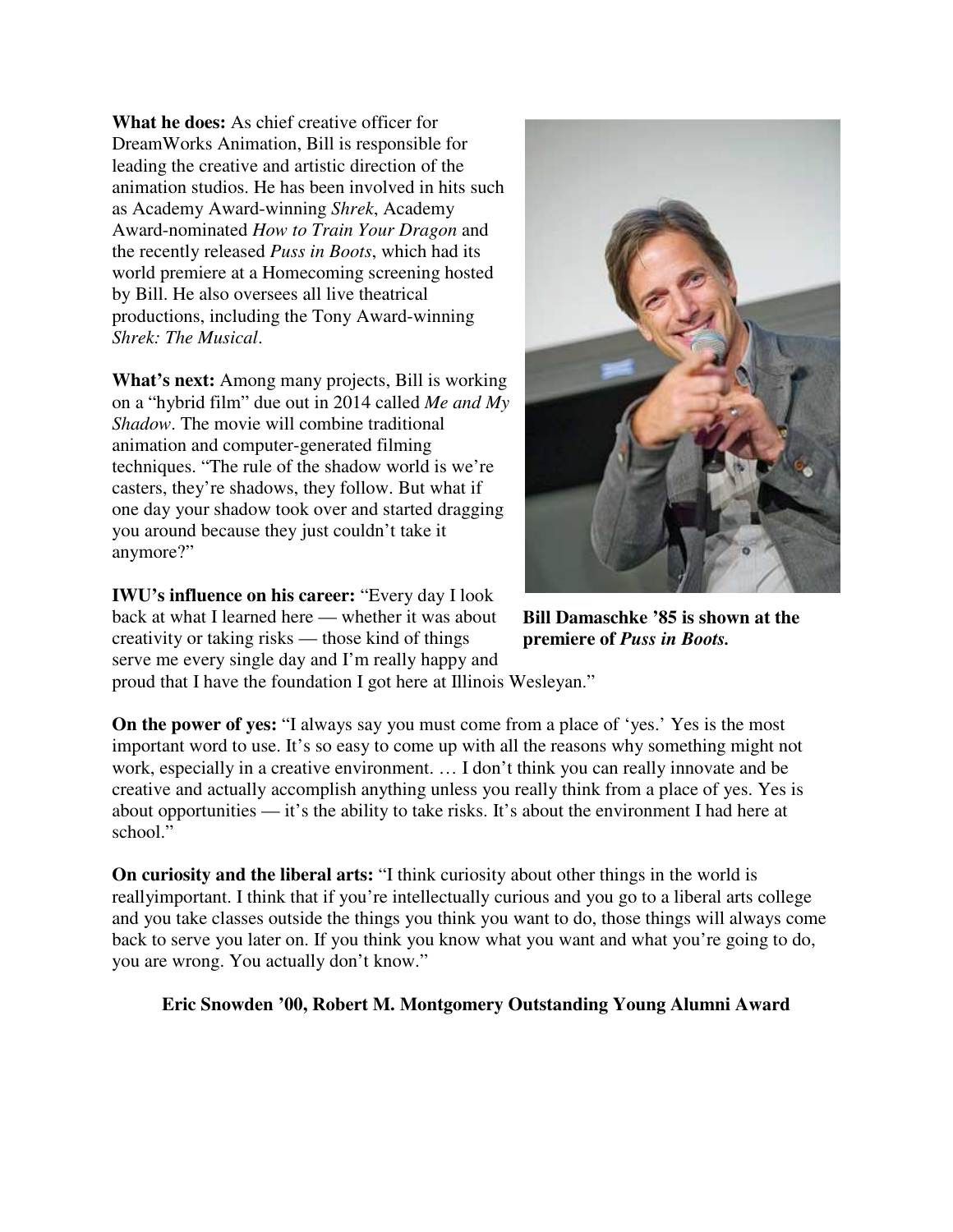**What he does:** As chief creative officer for DreamWorks Animation, Bill is responsible for leading the creative and artistic direction of the animation studios. He has been involved in hits such as Academy Award-winning *Shrek*, Academy Award-nominated *How to Train Your Dragon* and the recently released *Puss in Boots*, which had its world premiere at a Homecoming screening hosted by Bill. He also oversees all live theatrical productions, including the Tony Award-winning *Shrek: The Musical*.

**What's next:** Among many projects, Bill is working on a "hybrid film" due out in 2014 called *Me and My Shadow*. The movie will combine traditional animation and computer-generated filming techniques. "The rule of the shadow world is we're casters, they're shadows, they follow. But what if one day your shadow took over and started dragging you around because they just couldn't take it anymore?"

**IWU's influence on his career:** "Every day I look back at what I learned here — whether it was about creativity or taking risks — those kind of things serve me every single day and I'm really happy and



**Bill Damaschke '85 is shown at the premiere of** *Puss in Boots.*

proud that I have the foundation I got here at Illinois Wesleyan."

**On the power of yes:** "I always say you must come from a place of 'yes.' Yes is the most important word to use. It's so easy to come up with all the reasons why something might not work, especially in a creative environment. … I don't think you can really innovate and be creative and actually accomplish anything unless you really think from a place of yes. Yes is about opportunities — it's the ability to take risks. It's about the environment I had here at school."

**On curiosity and the liberal arts:** "I think curiosity about other things in the world is reallyimportant. I think that if you're intellectually curious and you go to a liberal arts college and you take classes outside the things you think you want to do, those things will always come back to serve you later on. If you think you know what you want and what you're going to do, you are wrong. You actually don't know."

## **Eric Snowden '00, Robert M. Montgomery Outstanding Young Alumni Award**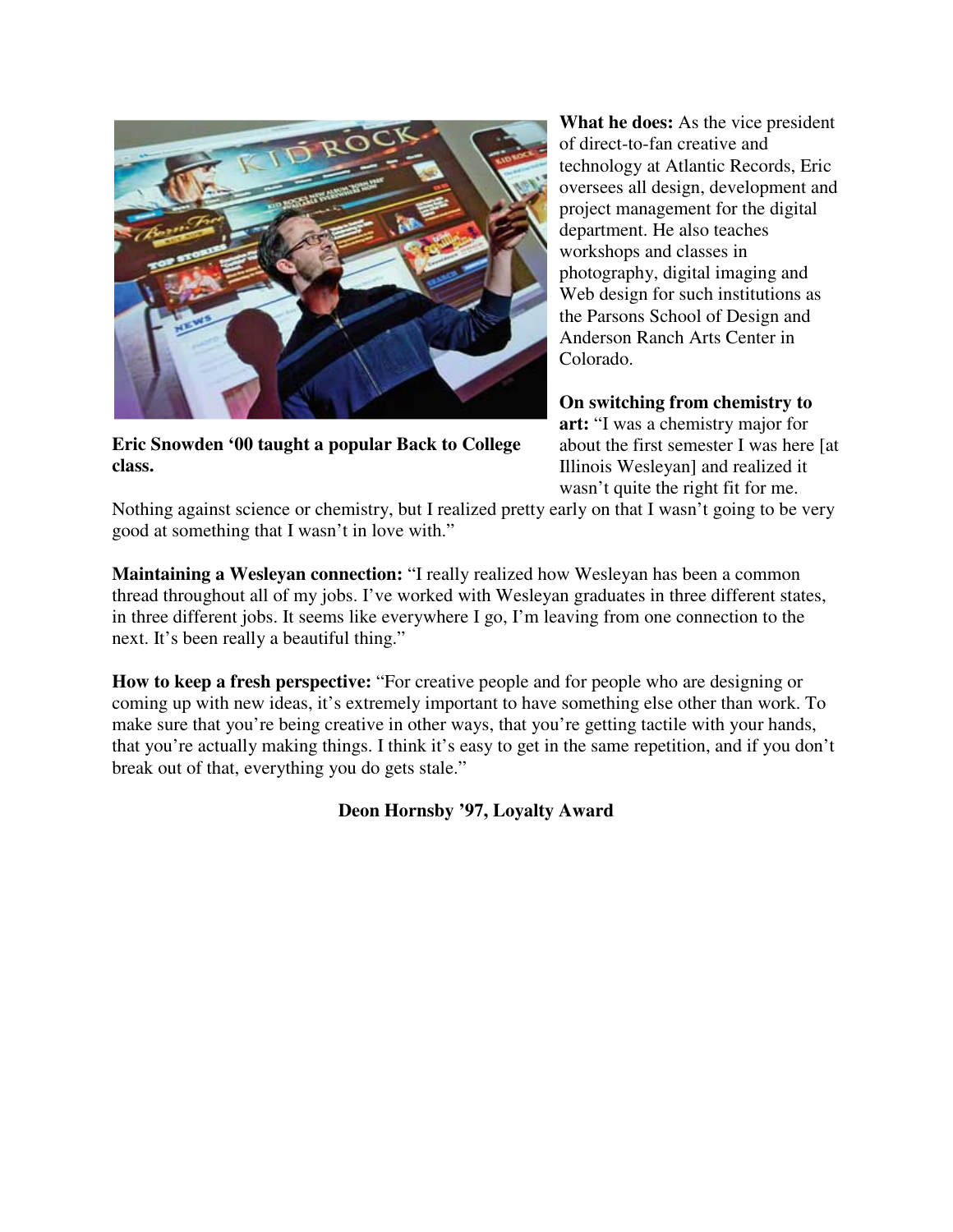

**Eric Snowden '00 taught a popular Back to College class.**

**What he does:** As the vice president of direct-to-fan creative and technology at Atlantic Records, Eric oversees all design, development and project management for the digital department. He also teaches workshops and classes in photography, digital imaging and Web design for such institutions as the Parsons School of Design and Anderson Ranch Arts Center in Colorado.

**On switching from chemistry to art:** "I was a chemistry major for about the first semester I was here [at Illinois Wesleyan] and realized it wasn't quite the right fit for me.

Nothing against science or chemistry, but I realized pretty early on that I wasn't going to be very good at something that I wasn't in love with."

**Maintaining a Wesleyan connection:** "I really realized how Wesleyan has been a common thread throughout all of my jobs. I've worked with Wesleyan graduates in three different states, in three different jobs. It seems like everywhere I go, I'm leaving from one connection to the next. It's been really a beautiful thing."

**How to keep a fresh perspective:** "For creative people and for people who are designing or coming up with new ideas, it's extremely important to have something else other than work. To make sure that you're being creative in other ways, that you're getting tactile with your hands, that you're actually making things. I think it's easy to get in the same repetition, and if you don't break out of that, everything you do gets stale."

**Deon Hornsby '97, Loyalty Award**